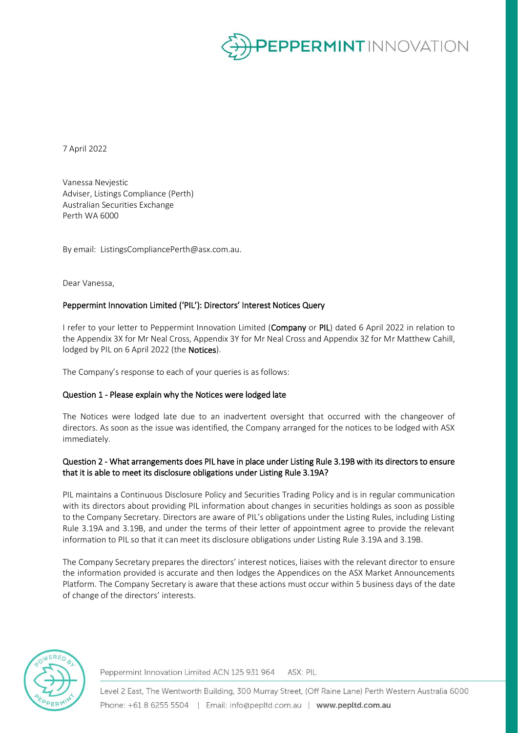

7 April 2022

Vanessa Nevjestic Adviser, Listings Compliance (Perth) Australian Securities Exchange Perth WA 6000

By email: ListingsCompliancePerth@asx.com.au.

Dear Vanessa,

# Peppermint Innovation Limited ('PIL'): Directors' Interest Notices Query

I refer to your letter to Peppermint Innovation Limited (Company or PIL) dated 6 April 2022 in relation to the Appendix 3X for Mr Neal Cross, Appendix 3Y for Mr Neal Cross and Appendix 3Z for Mr Matthew Cahill, lodged by PIL on 6 April 2022 (the Notices).

The Company's response to each of your queries is as follows:

## Question 1 - Please explain why the Notices were lodged late

The Notices were lodged late due to an inadvertent oversight that occurred with the changeover of directors. As soon as the issue was identified, the Company arranged for the notices to be lodged with ASX immediately.

# Question 2 - What arrangements does PIL have in place under Listing Rule 3.19B with its directors to ensure that it is able to meet its disclosure obligations under Listing Rule 3.19A?

PIL maintains a Continuous Disclosure Policy and Securities Trading Policy and is in regular communication with its directors about providing PIL information about changes in securities holdings as soon as possible to the Company Secretary. Directors are aware of PIL's obligations under the Listing Rules, including Listing Rule 3.19A and 3.19B, and under the terms of their letter of appointment agree to provide the relevant information to PIL so that it can meet its disclosure obligations under Listing Rule 3.19A and 3.19B.

The Company Secretary prepares the directors' interest notices, liaises with the relevant director to ensure the information provided is accurate and then lodges the Appendices on the ASX Market Announcements Platform. The Company Secretary is aware that these actions must occur within 5 business days of the date of change of the directors' interests.



Peppermint Innovation Limited ACN 125 931 964 ASX: PIL

Level 2 East, The Wentworth Building, 300 Murray Street, (Off Raine Lane) Perth Western Australia 6000 Phone: +61 8 6255 5504 | Email: info@pepltd.com.au | www.pepltd.com.au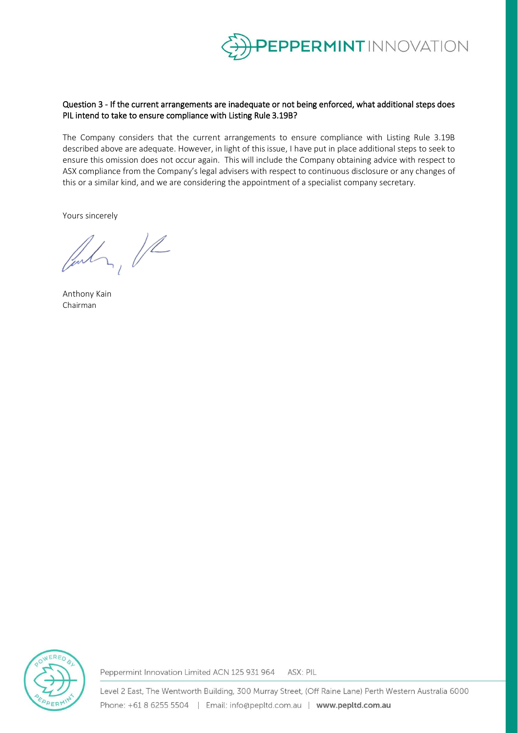

# Question 3 - If the current arrangements are inadequate or not being enforced, what additional steps does PIL intend to take to ensure compliance with Listing Rule 3.19B?

The Company considers that the current arrangements to ensure compliance with Listing Rule 3.19B described above are adequate. However, in light of this issue, I have put in place additional steps to seek to ensure this omission does not occur again. This will include the Company obtaining advice with respect to ASX compliance from the Company's legal advisers with respect to continuous disclosure or any changes of this or a similar kind, and we are considering the appointment of a specialist company secretary.

Yours sincerely

Indr, Il

Anthony Kain Chairman



Peppermint Innovation Limited ACN 125 931 964 ASX: PIL

Level 2 East, The Wentworth Building, 300 Murray Street, (Off Raine Lane) Perth Western Australia 6000 Phone: +61 8 6255 5504 | Email: info@pepltd.com.au | www.pepltd.com.au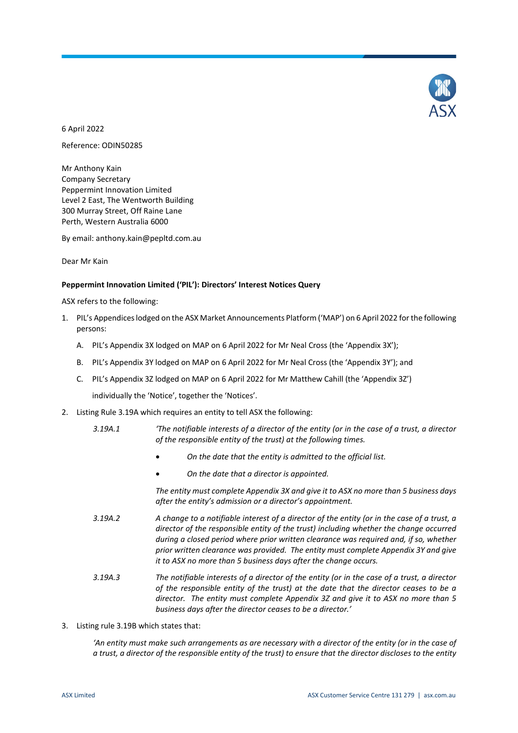

6 April 2022

Reference: ODIN50285

Mr Anthony Kain Company Secretary Peppermint Innovation Limited Level 2 East, The Wentworth Building 300 Murray Street, Off Raine Lane Perth, Western Australia 6000

By email: anthony.kain@pepltd.com.au

Dear Mr Kain

### **Peppermint Innovation Limited ('PIL'): Directors' Interest Notices Query**

ASX refers to the following:

- 1. PIL's Appendices lodged on the ASX Market Announcements Platform ('MAP') on 6 April 2022 forthe following persons:
	- A. PIL's Appendix 3X lodged on MAP on 6 April 2022 for Mr Neal Cross (the 'Appendix 3X');
	- B. PIL's Appendix 3Y lodged on MAP on 6 April 2022 for Mr Neal Cross (the 'Appendix 3Y'); and
	- C. PIL's Appendix 3Z lodged on MAP on 6 April 2022 for Mr Matthew Cahill (the 'Appendix 3Z')

individually the 'Notice', together the 'Notices'.

- 2. Listing Rule 3.19A which requires an entity to tell ASX the following:
	- *3.19A.1 'The notifiable interests of a director of the entity (or in the case of a trust, a director of the responsible entity of the trust) at the following times.*
		- *On the date that the entity is admitted to the official list.*
		- *On the date that a director is appointed.*

*The entity must complete Appendix 3X and give it to ASX no more than 5 business days after the entity's admission or a director's appointment.* 

- *3.19A.2 A change to a notifiable interest of a director of the entity (or in the case of a trust, a director of the responsible entity of the trust) including whether the change occurred during a closed period where prior written clearance was required and, if so, whether prior written clearance was provided. The entity must complete Appendix 3Y and give it to ASX no more than 5 business days after the change occurs.*
- *3.19A.3 The notifiable interests of a director of the entity (or in the case of a trust, a director of the responsible entity of the trust) at the date that the director ceases to be a director. The entity must complete Appendix 3Z and give it to ASX no more than 5 business days after the director ceases to be a director.'*
- 3. Listing rule 3.19B which states that:

*'An entity must make such arrangements as are necessary with a director of the entity (or in the case of a trust, a director of the responsible entity of the trust) to ensure that the director discloses to the entity*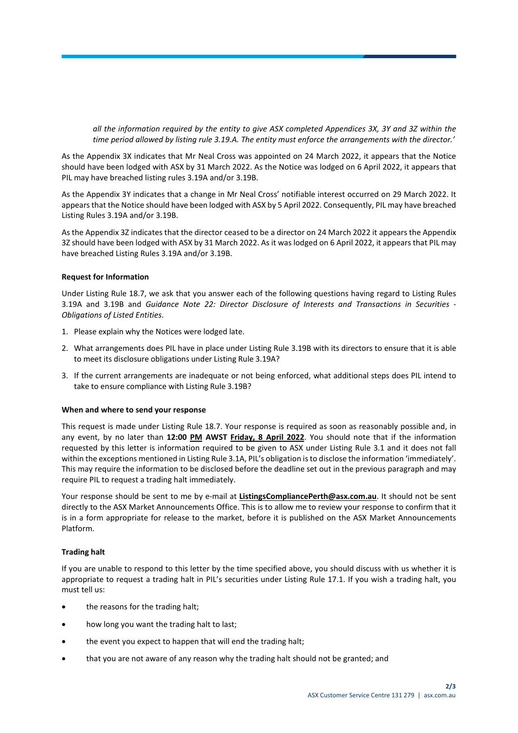*all the information required by the entity to give ASX completed Appendices 3X, 3Y and 3Z within the time period allowed by listing rule 3.19.A. The entity must enforce the arrangements with the director.'*

As the Appendix 3X indicates that Mr Neal Cross was appointed on 24 March 2022, it appears that the Notice should have been lodged with ASX by 31 March 2022. As the Notice was lodged on 6 April 2022, it appears that PIL may have breached listing rules 3.19A and/or 3.19B.

As the Appendix 3Y indicates that a change in Mr Neal Cross' notifiable interest occurred on 29 March 2022. It appears that the Notice should have been lodged with ASX by 5 April 2022. Consequently, PIL may have breached Listing Rules 3.19A and/or 3.19B.

As the Appendix 3Z indicates that the director ceased to be a director on 24 March 2022 it appears the Appendix 3Z should have been lodged with ASX by 31 March 2022. As it was lodged on 6 April 2022, it appears that PIL may have breached Listing Rules 3.19A and/or 3.19B.

### **Request for Information**

Under Listing Rule 18.7, we ask that you answer each of the following questions having regard to Listing Rules 3.19A and 3.19B and *Guidance Note 22: Director Disclosure of Interests and Transactions in Securities - Obligations of Listed Entities*.

- 1. Please explain why the Notices were lodged late.
- 2. What arrangements does PIL have in place under Listing Rule 3.19B with its directors to ensure that it is able to meet its disclosure obligations under Listing Rule 3.19A?
- 3. If the current arrangements are inadequate or not being enforced, what additional steps does PIL intend to take to ensure compliance with Listing Rule 3.19B?

### **When and where to send your response**

This request is made under Listing Rule 18.7. Your response is required as soon as reasonably possible and, in any event, by no later than **12:00 PM AWST Friday, 8 April 2022**. You should note that if the information requested by this letter is information required to be given to ASX under Listing Rule 3.1 and it does not fall within the exceptions mentioned in Listing Rule 3.1A, PIL's obligation is to disclose the information 'immediately'. This may require the information to be disclosed before the deadline set out in the previous paragraph and may require PIL to request a trading halt immediately.

Your response should be sent to me by e-mail at **ListingsCompliancePerth@asx.com.au**. It should not be sent directly to the ASX Market Announcements Office. This is to allow me to review your response to confirm that it is in a form appropriate for release to the market, before it is published on the ASX Market Announcements Platform.

### **Trading halt**

If you are unable to respond to this letter by the time specified above, you should discuss with us whether it is appropriate to request a trading halt in PIL's securities under Listing Rule 17.1. If you wish a trading halt, you must tell us:

- the reasons for the trading halt;
- how long you want the trading halt to last;
- the event you expect to happen that will end the trading halt;
- that you are not aware of any reason why the trading halt should not be granted; and